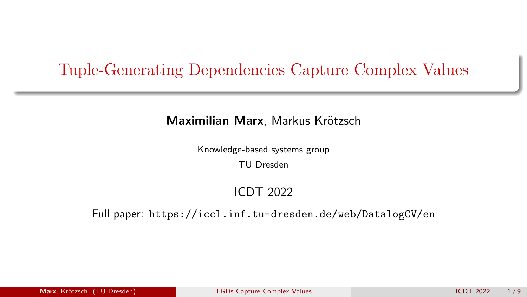## <span id="page-0-0"></span>Tuple-Generating Dependencies Capture Complex Values

#### Maximilian Marx, Markus Krötzsch

Knowledge-based systems group

TU Dresden

### ICDT 2022

#### Full paper: <https://iccl.inf.tu-dresden.de/web/DatalogCV/en>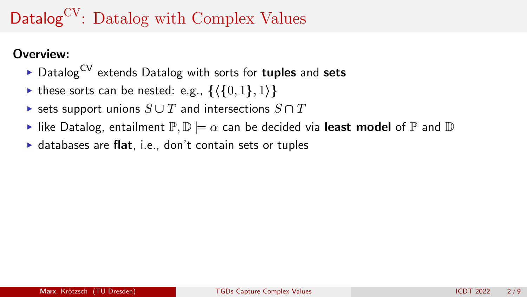# Datalog<sup>CV</sup>: Datalog with Complex Values

### Overview:

- $\triangleright$  Datalog<sup>CV</sup> extends Datalog with sorts for **tuples** and sets
- $\triangleright$  these sorts can be nested: e.g.,  $\{\langle \{0, 1\}, 1\rangle\}$
- $\triangleright$  sets support unions  $S \cup T$  and intersections  $S \cap T$
- like Datalog, entailment  $\mathbb{P}, \mathbb{D} \models \alpha$  can be decided via least model of  $\mathbb P$  and  $\mathbb D$
- $\triangleright$  databases are flat, i.e., don't contain sets or tuples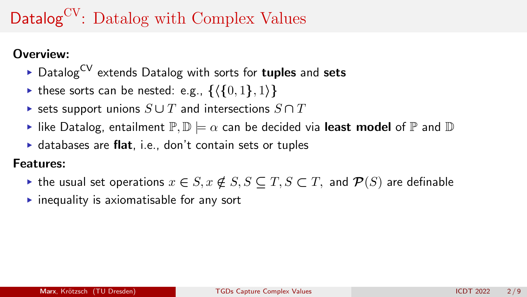# Datalog<sup>CV</sup>: Datalog with Complex Values

### Overview:

- $\triangleright$  Datalog<sup>CV</sup> extends Datalog with sorts for **tuples** and sets
- $\triangleright$  these sorts can be nested: e.g.,  $\{\langle \{0, 1\}, 1\rangle\}$
- $\triangleright$  sets support unions  $S \cup T$  and intersections  $S \cap T$
- like Datalog, entailment  $\mathbb{P}, \mathbb{D} \models \alpha$  can be decided via least model of  $\mathbb P$  and  $\mathbb D$
- $\triangleright$  databases are flat, i.e., don't contain sets or tuples

### Features:

- $\triangleright$  the usual set operations  $x \in S$ ,  $x \notin S$ ,  $S \subseteq T$ ,  $S \subset T$ , and  $\mathcal{P}(S)$  are definable
- $\triangleright$  inequality is axiomatisable for any sort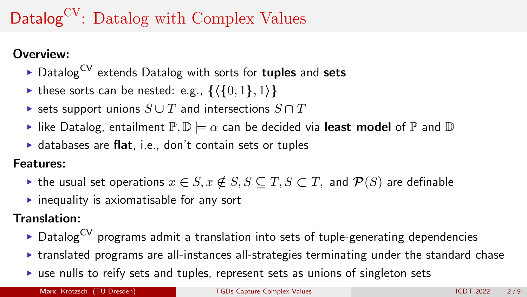# Datalog<sup>CV</sup>: Datalog with Complex Values

### Overview:

- $\triangleright$  Datalog<sup>CV</sup> extends Datalog with sorts for **tuples** and sets
- $\triangleright$  these sorts can be nested: e.g.,  $\{\langle \{0, 1\}, 1\rangle\}$
- $\triangleright$  sets support unions  $S \cup T$  and intersections  $S \cap T$
- like Datalog, entailment  $\mathbb{P}, \mathbb{D} \models \alpha$  can be decided via least model of  $\mathbb P$  and  $\mathbb D$
- $\triangleright$  databases are flat, i.e., don't contain sets or tuples

### Features:

- $\triangleright$  the usual set operations  $x \in S$ ,  $x \notin S$ ,  $S \subseteq T$ ,  $S \subset T$ , and  $\mathcal{P}(S)$  are definable
- $\triangleright$  inequality is axiomatisable for any sort

### Translation:

- $\triangleright$  DatalogCV programs admit a translation into sets of tuple-generating dependencies
- $\triangleright$  translated programs are all-instances all-strategies terminating under the standard chase
- $\triangleright$  use nulls to reify sets and tuples, represent sets as unions of singleton sets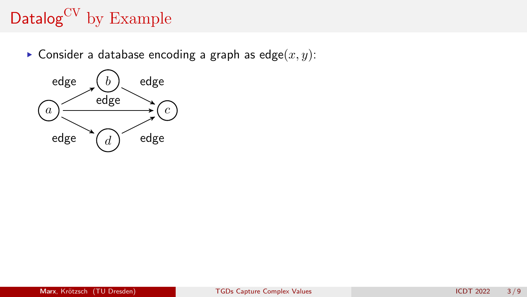# Datalog<sup>CV</sup> by Example

Consider a database encoding a graph as  $edge(x, y)$ :

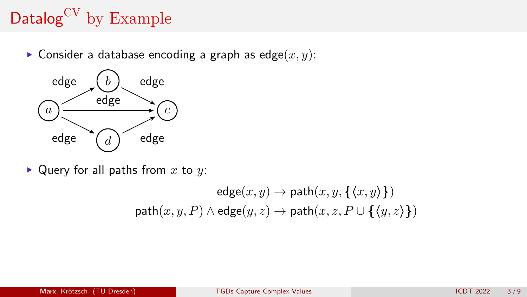# Datalog<sup>CV</sup> by Example

Consider a database encoding a graph as  $edge(x, y)$ :



 $\blacktriangleright$  Query for all paths from x to y:

$$
\mathsf{edge}(x,y) \to \mathsf{path}(x,y,\{\langle x,y\rangle\})
$$
\n
$$
\mathsf{path}(x,y,P) \land \mathsf{edge}(y,z) \to \mathsf{path}(x,z,P \cup \{\langle y,z\rangle\})
$$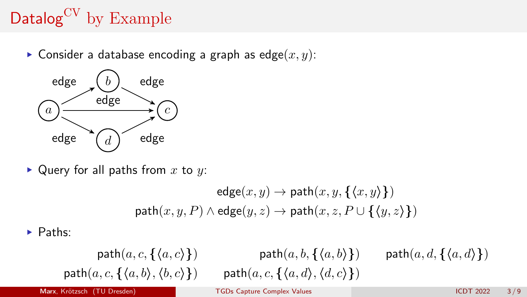# Datalog<sup>CV</sup> by Example

Consider a database encoding a graph as edge $(x, y)$ :



 $\blacktriangleright$  Query for all paths from x to y:

$$
\mathsf{edge}(x,y) \to \mathsf{path}(x,y,\{\langle x,y\rangle\})
$$
\n
$$
\mathsf{path}(x,y,P) \land \mathsf{edge}(y,z) \to \mathsf{path}(x,z,P \cup \{\langle y,z\rangle\})
$$

 $\blacktriangleright$  Paths:

$$
\mathsf{path}(a, c, \{\langle a, c \rangle\}) \qquad \qquad \mathsf{path}(a, b, \{\langle a, b \rangle\}) \qquad \mathsf{path}(a, d, \{\langle a, d \rangle\})
$$
\n
$$
\mathsf{path}(a, c, \{\langle a, b \rangle, \langle b, c \rangle\}) \qquad \mathsf{path}(a, c, \{\langle a, d \rangle, \langle d, c \rangle\})
$$

Marx, Krötzsch (TU Dresden) [TGDs Capture Complex Values](#page-0-0) ICDT 2022 3/9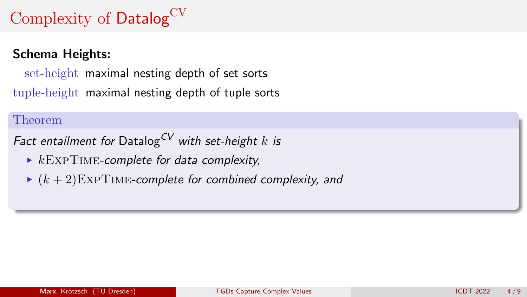# Complexity of Datalog<sup>CV</sup>

### Schema Heights:

set-height maximal nesting depth of set sorts tuple-height maximal nesting depth of tuple sorts

#### Theorem

Fact entailment for Datalog<sup>CV</sup> with set-height k is

- $\triangleright$  kEXPTIME-complete for data complexity,
- $(k + 2)$ EXPTIME-complete for combined complexity, and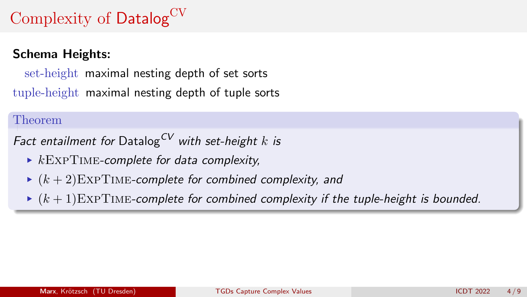# Complexity of Datalog<sup>CV</sup>

### Schema Heights:

set-height maximal nesting depth of set sorts tuple-height maximal nesting depth of tuple sorts

#### Theorem

Fact entailment for Datalog<sup>CV</sup> with set-height k is

- $\triangleright$  kEXPTIME-complete for data complexity,
- $(k + 2)$ EXPTIME-complete for combined complexity, and
- $(k + 1)$ EXPTIME-complete for combined complexity if the tuple-height is bounded.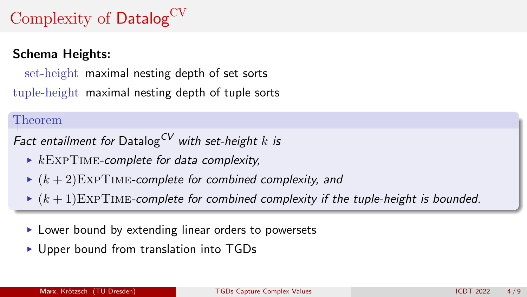# Complexity of Datalog<sup>CV</sup>

### Schema Heights:

set-height maximal nesting depth of set sorts tuple-height maximal nesting depth of tuple sorts

#### Theorem

Fact entailment for Datalog<sup>CV</sup> with set-height k is

- $\triangleright$  kEXPTIME-complete for data complexity,
- $\blacktriangleright$   $(k+2)$ EXPTIME-complete for combined complexity, and
- $(k + 1)$ EXPTIME-complete for combined complexity if the tuple-height is bounded.
- ► Lower bound by extending linear orders to powersets
- Upper bound from translation into TGDs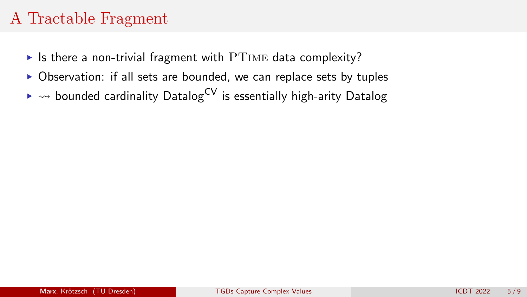- $\triangleright$  Is there a non-trivial fragment with PTIME data complexity?
- ▶ Observation: if all sets are bounded, we can replace sets by tuples
- $\rightarrow \rightarrow$  bounded cardinality Datalog<sup>CV</sup> is essentially high-arity Datalog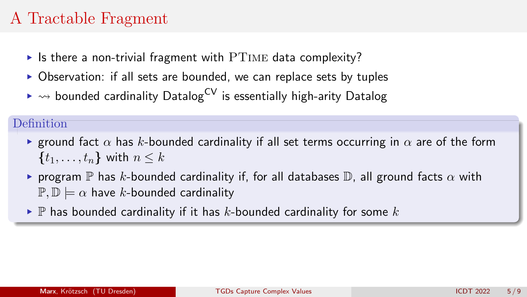- If is there a non-trivial fragment with  $PTIME$  data complexity?
- ▶ Observation: if all sets are bounded, we can replace sets by tuples
- $\rightarrow \rightarrow$  bounded cardinality Datalog<sup>CV</sup> is essentially high-arity Datalog

#### **Definition**

- **Exercise 1** and fact  $\alpha$  has k-bounded cardinality if all set terms occurring in  $\alpha$  are of the form  $\{t_1, \ldots, t_n\}$  with  $n \leq k$
- **•** program  $\mathbb P$  has k-bounded cardinality if, for all databases  $\mathbb D$ , all ground facts  $\alpha$  with  $\mathbb{P}, \mathbb{D} \models \alpha$  have k-bounded cardinality
- $\blacktriangleright$  P has bounded cardinality if it has k-bounded cardinality for some k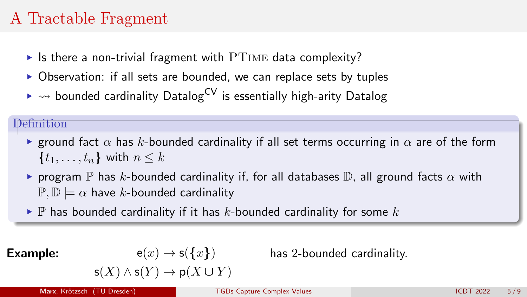- If is there a non-trivial fragment with  $PTIME$  data complexity?
- ▶ Observation: if all sets are bounded, we can replace sets by tuples
- $\rightarrow \rightarrow$  bounded cardinality Datalog<sup>CV</sup> is essentially high-arity Datalog

### **Definition**

- **Exercise 1** and fact  $\alpha$  has k-bounded cardinality if all set terms occurring in  $\alpha$  are of the form  $\{t_1, \ldots, t_n\}$  with  $n \leq k$
- **•** program  $\mathbb P$  has k-bounded cardinality if, for all databases  $\mathbb D$ , all ground facts  $\alpha$  with  $\mathbb{P}, \mathbb{D} \models \alpha$  have k-bounded cardinality
- $\blacktriangleright$  P has bounded cardinality if it has k-bounded cardinality for some k

 $\mathsf{s}(X) \wedge \mathsf{s}(Y) \to \mathsf{p}(X \cup Y)$ 

**Example:**  $e(x) \rightarrow s({x})$ 

has 2-bounded cardinality.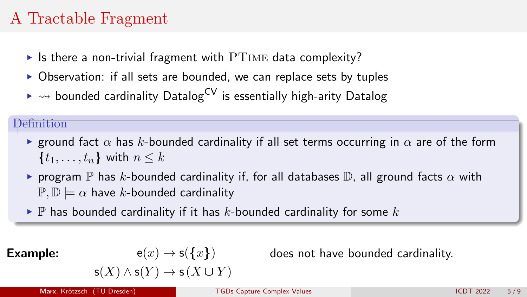- If is there a non-trivial fragment with  $PTIME$  data complexity?
- ▶ Observation: if all sets are bounded, we can replace sets by tuples
- $\rightarrow \rightarrow$  bounded cardinality Datalog<sup>CV</sup> is essentially high-arity Datalog

### **Definition**

- **Exercise 1** and fact  $\alpha$  has k-bounded cardinality if all set terms occurring in  $\alpha$  are of the form  $\{t_1, \ldots, t_n\}$  with  $n \leq k$
- **•** program  $\mathbb P$  has k-bounded cardinality if, for all databases  $\mathbb D$ , all ground facts  $\alpha$  with  $\mathbb{P}, \mathbb{D} \models \alpha$  have k-bounded cardinality
- $\blacktriangleright$  P has bounded cardinality if it has k-bounded cardinality for some k

**Example:**  $e(x) \rightarrow s({x})$ 

does not have bounded cardinality.

$$
\mathsf{s}(X) \land \mathsf{s}(Y) \to \mathsf{s}\,(X \cup Y)
$$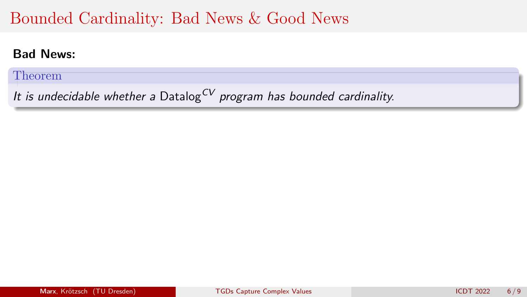# Bounded Cardinality: Bad News & Good News

### Bad News:

Theorem

It is undecidable whether a Datalog<sup>CV</sup> program has bounded cardinality.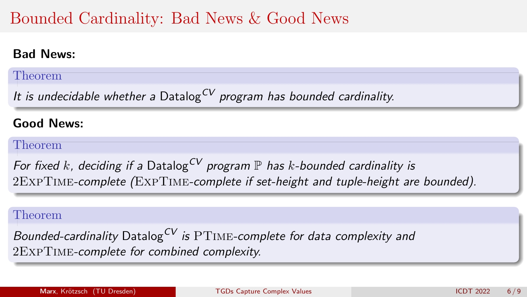# Bounded Cardinality: Bad News & Good News

### Bad News:

### Theorem

It is undecidable whether a Datalog<sup>CV</sup> program has bounded cardinality.

### Good News:

#### Theorem

For fixed k, deciding if a Datalog<sup>CV</sup> program  $\mathbb P$  has k-bounded cardinality is 2ExpTime-complete (ExpTime-complete if set-height and tuple-height are bounded).

#### Theorem

Bounded-cardinality Datalog<sup>CV</sup> is  $PTIME$ -complete for data complexity and 2ExpTime-complete for combined complexity.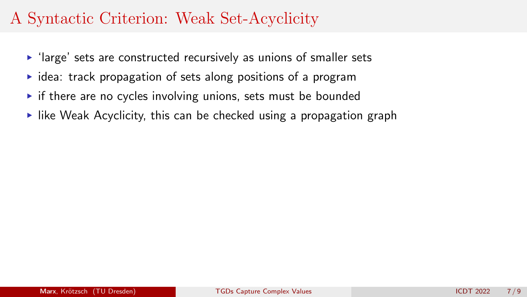- $\blacktriangleright$  'large' sets are constructed recursively as unions of smaller sets
- $\triangleright$  idea: track propagation of sets along positions of a program
- $\triangleright$  if there are no cycles involving unions, sets must be bounded
- $\blacktriangleright$  like Weak Acyclicity, this can be checked using a propagation graph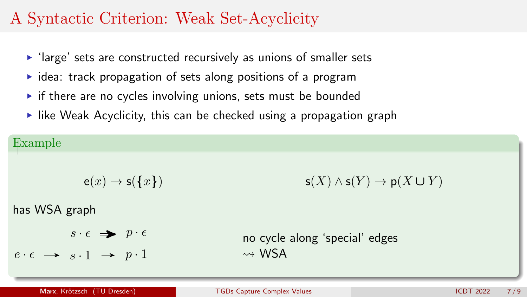- 'large' sets are constructed recursively as unions of smaller sets
- $\triangleright$  idea: track propagation of sets along positions of a program
- $\triangleright$  if there are no cycles involving unions, sets must be bounded
- $\blacktriangleright$  like Weak Acyclicity, this can be checked using a propagation graph

#### Example

$$
e(x) \to s(\lbrace x \rbrace) \qquad \qquad s(X) \land s(Y) \to p(X \cup Y)
$$

has WSA graph

 $s \cdot \epsilon \Rightarrow p \cdot \epsilon$ 

 $e \cdot \epsilon \rightarrow s \cdot 1 \rightarrow p \cdot 1$ 

$$
\mathsf{s}(X) \land \mathsf{s}(Y) \to \mathsf{p}(X \cup Y)
$$

no cycle along 'special' edges  $\rightsquigarrow$  WSA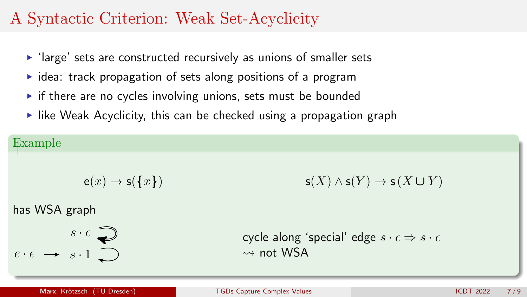- 'large' sets are constructed recursively as unions of smaller sets
- $\triangleright$  idea: track propagation of sets along positions of a program
- $\triangleright$  if there are no cycles involving unions, sets must be bounded
- $\blacktriangleright$  like Weak Acyclicity, this can be checked using a propagation graph

#### Example

$$
e(x) \to s(\lbrace x \rbrace) \qquad \qquad s(X) \land s(Y) \to s(X \cup Y)
$$

has WSA graph

$$
e \cdot \epsilon \rightarrow s \cdot 1
$$

cycle along 'special' edge  $s \cdot \epsilon \Rightarrow s \cdot \epsilon$  $\rightsquigarrow$  not WSA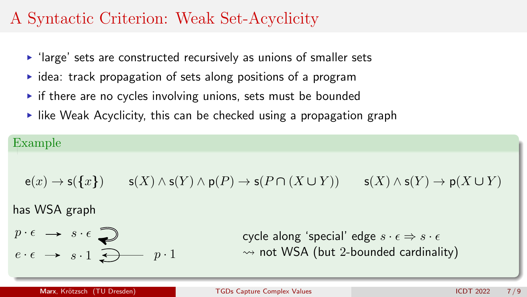- 'large' sets are constructed recursively as unions of smaller sets
- $\triangleright$  idea: track propagation of sets along positions of a program
- $\triangleright$  if there are no cycles involving unions, sets must be bounded
- $\blacktriangleright$  like Weak Acyclicity, this can be checked using a propagation graph

### Example

$$
\mathsf{e}(x) \to \mathsf{s}(\{x\}) \qquad \mathsf{s}(X) \wedge \mathsf{s}(Y) \wedge \mathsf{p}(P) \to \mathsf{s}(P \cap (X \cup Y)) \qquad \mathsf{s}(X) \wedge \mathsf{s}(Y) \to \mathsf{p}(X \cup Y)
$$

has WSA graph

$$
p \cdot \epsilon \rightarrow s \cdot \epsilon
$$
  

$$
e \cdot \epsilon \rightarrow s \cdot 1
$$

cycle along 'special' edge  $s \cdot \epsilon \Rightarrow s \cdot \epsilon$  $\rightarrow$  not WSA (but 2-bounded cardinality)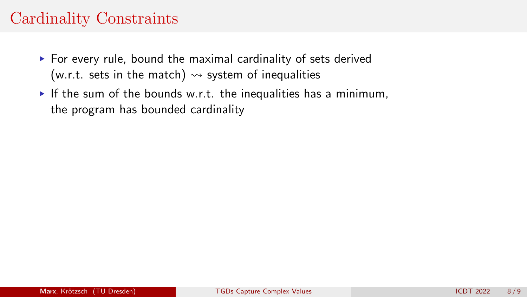# Cardinality Constraints

- $\triangleright$  For every rule, bound the maximal cardinality of sets derived (w.r.t. sets in the match)  $\rightsquigarrow$  system of inequalities
- If the sum of the bounds w.r.t. the inequalities has a minimum, the program has bounded cardinality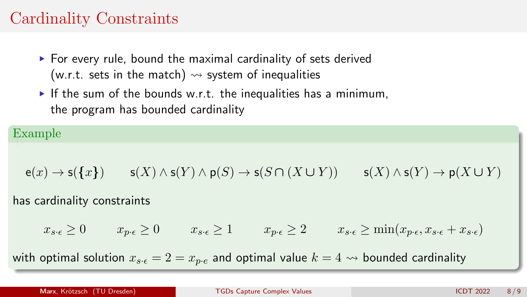# Cardinality Constraints

- $\triangleright$  For every rule, bound the maximal cardinality of sets derived (w.r.t. sets in the match)  $\rightsquigarrow$  system of inequalities
- If the sum of the bounds w.r.t. the inequalities has a minimum, the program has bounded cardinality

#### Example

$$
\mathsf{e}(x) \to \mathsf{s}(\{x\}) \qquad \mathsf{s}(X) \wedge \mathsf{s}(Y) \wedge \mathsf{p}(S) \to \mathsf{s}(S \cap (X \cup Y)) \qquad \mathsf{s}(X) \wedge \mathsf{s}(Y) \to \mathsf{p}(X \cup Y)
$$

#### has cardinality constraints

$$
x_{s\cdot\epsilon} \ge 0 \qquad x_{p\cdot\epsilon} \ge 0 \qquad x_{s\cdot\epsilon} \ge 1 \qquad x_{p\cdot\epsilon} \ge 2 \qquad x_{s\cdot\epsilon} \ge \min(x_{p\cdot\epsilon}, x_{s\cdot\epsilon} + x_{s\cdot\epsilon})
$$

with optimal solution  $x_{s,\epsilon} = 2 = x_{p,\epsilon}$  and optimal value  $k = 4 \rightsquigarrow$  bounded cardinality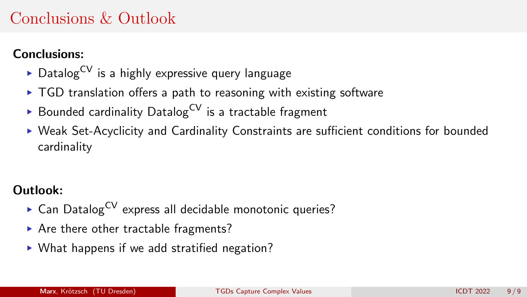# <span id="page-22-0"></span>Conclusions & Outlook

### Conclusions:

- $\triangleright$  Datalog<sup>CV</sup> is a highly expressive query language
- $\triangleright$  TGD translation offers a path to reasoning with existing software
- Bounded cardinality Datalog<sup>CV</sup> is a tractable fragment
- ▶ Weak Set-Acyclicity and Cardinality Constraints are sufficient conditions for bounded cardinality

### Outlook:

- Can Datalog<sup>CV</sup> express all decidable monotonic queries?
- ▶ Are there other tractable fragments?
- ▶ What happens if we add stratified negation?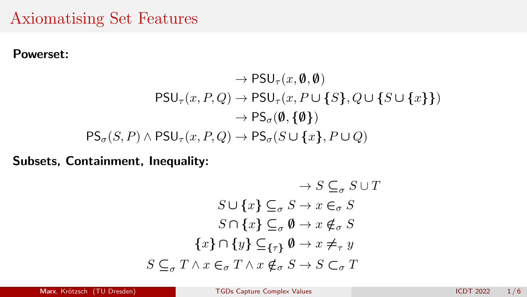## Axiomatising Set Features

#### Powerset:

 $\rightarrow$  PSU<sub> $\tau$ </sub> $(x, \emptyset, \emptyset)$  $PSU_{\tau}(x, P, Q) \rightarrow PSU_{\tau}(x, P \cup \{S\}, Q \cup \{S \cup \{x\}\})$  $\rightarrow PS_{\sigma}(\emptyset, \{\emptyset\})$  $PS_{\sigma}(S, P) \wedge PSU_{\tau}(x, P, Q) \rightarrow PS_{\sigma}(S \cup \{x\}, P \cup Q)$ 

Subsets, Containment, Inequality:

$$
\rightarrow S \subseteq_{\sigma} S \cup T
$$
  
\n
$$
S \cup \{x\} \subseteq_{\sigma} S \rightarrow x \in_{\sigma} S
$$
  
\n
$$
S \cap \{x\} \subseteq_{\sigma} \emptyset \rightarrow x \notin_{\sigma} S
$$
  
\n
$$
\{x\} \cap \{y\} \subseteq_{\{\tau\}} \emptyset \rightarrow x \neq_{\tau} y
$$
  
\n
$$
S \subseteq_{\sigma} T \land x \in_{\sigma} T \land x \notin_{\sigma} S \rightarrow S \subset_{\sigma} T
$$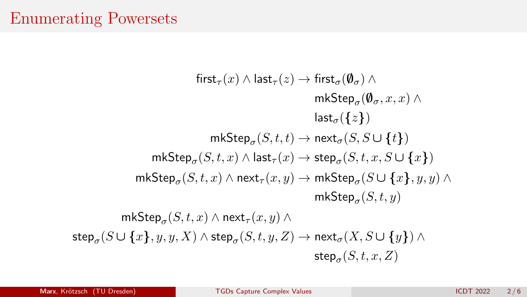## Enumerating Powersets

 $first_\tau(x) \wedge last_\tau(z) \rightarrow first_\sigma(\emptyset_\tau) \wedge$ mk $\mathsf{Step}_{\sigma}(\pmb{\emptyset}_{\sigma},x,x) \wedge$  $last_{\sigma}({z})$  $\mathsf{mkStep}_{\sigma}(S, t, t) \to \mathsf{next}_{\sigma}(S, S \cup \{t\})$  $\mathsf{mkStep}_{\sigma}(S, t, x) \land \mathsf{last}_{\tau}(x) \to \mathsf{step}_{\sigma}(S, t, x, S \cup \{x\})$  $\mathsf{mkStep}_{\sigma}(S, t, x) \land \mathsf{next}_{\tau}(x, y) \to \mathsf{mkStep}_{\sigma}(S \cup \{x\}, y, y) \land$  $\mathsf{mkStep}_{\sigma}(S, t, y)$  $\mathsf{mkStep}_{\sigma}(S, t, x) \land \mathsf{next}_{\tau}(x, y) \land$  $\mathsf{step}_{\sigma}(S \cup \{x\}, y, y, X) \land \mathsf{step}_{\sigma}(S, t, y, Z) \rightarrow \mathsf{next}_{\sigma}(X, S \cup \{y\}) \land$  $\mathsf{step}_{\sigma}(S, t, x, Z)$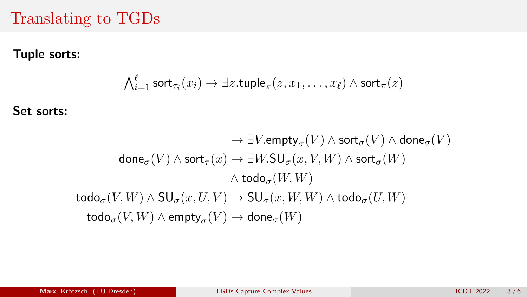## Translating to TGDs

### Tuple sorts:

$$
\textstyle \bigwedge_{i=1}^\ell \textsf{sort}_{\tau_i}(x_i) \to \exists z.\textsf{tuple}_{\pi}(z,x_1,\ldots,x_\ell) \land \textsf{sort}_{\pi}(z)
$$

Set sorts:

$$
\rightarrow \exists V.\text{empty}_{\sigma}(V) \wedge \text{sort}_{\sigma}(V) \wedge \text{done}_{\sigma}(V) \\ \text{done}_{\sigma}(V) \wedge \text{sort}_{\tau}(x) \rightarrow \exists W.\text{SU}_{\sigma}(x,V,W) \wedge \text{sort}_{\sigma}(W) \\ \wedge \text{todo}_{\sigma}(W,W) \\ \text{todo}_{\sigma}(V,W) \wedge \text{SU}_{\sigma}(x,U,V) \rightarrow \text{SU}_{\sigma}(x,W,W) \wedge \text{todo}_{\sigma}(U,W) \\ \text{todo}_{\sigma}(V,W) \wedge \text{empty}_{\sigma}(V) \rightarrow \text{done}_{\sigma}(W)
$$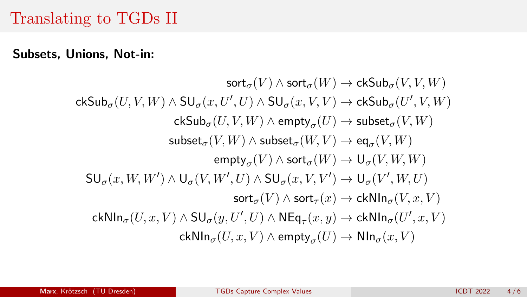## Translating to TGDs II

Subsets, Unions, Not-in:

 $sort_{\sigma}(V) \wedge sort_{\sigma}(W) \rightarrow ckSub_{\sigma}(V, V, W)$  $\mathsf{ckSub}_{\sigma}(U,V,W) \wedge \mathsf{SU}_{\sigma}(x,U',U) \wedge \mathsf{SU}_{\sigma}(x,V,V) \to \mathsf{ckSub}_{\sigma}(U',V,W)$  $\mathsf{ckSub}_{\sigma}(U,V,W) \land \mathsf{empty}_{\sigma}(U) \to \mathsf{subset}_{\sigma}(V,W)$  $\mathsf{subset}_\sigma(V,W) \land \mathsf{subset}_\sigma(W,V) \to \mathsf{eq}_\sigma(V,W)$  $\operatorname{\mathsf{empty}}_\sigma(V) \wedge \operatorname{\mathsf{sort}}_\sigma(W) \to \mathsf{U}_\sigma(V,W,W)$  $\mathsf{SU}_{\sigma}(x, W, W') \wedge \mathsf{U}_{\sigma}(V, W', U) \wedge \mathsf{SU}_{\sigma}(x, V, V') \to \mathsf{U}_{\sigma}(V', W, U)$  $sort_{\sigma}(V) \wedge sort_{\tau}(x) \rightarrow ckNIn_{\sigma}(V, x, V)$  $\mathsf{ckNIn}_{\sigma}(U,x,V) \wedge \mathsf{SU}_{\sigma}(y,U',U) \wedge \mathsf{NEq}_{\tau}(x,y) \to \mathsf{ckNIn}_{\sigma}(U',x,V)$  $\mathsf{ckNIn}_{\sigma}(U,x,V) \land \mathsf{empty}_{\sigma}(U) \to \mathsf{NIn}_{\sigma}(x,V)$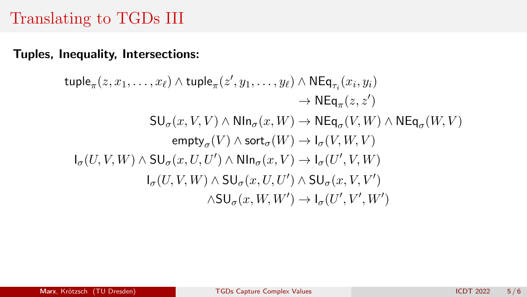# Translating to TGDs III

Tuples, Inequality, Intersections:

$$
\begin{aligned}\n\text{tuple}_{\pi}(z,x_1,\ldots,x_\ell)\wedge\text{tuple}_{\pi}(z',y_1,\ldots,y_\ell)\wedge\text{NEq}_{\tau_i}(x_i,y_i) \\
&\to \text{NEq}_{\pi}(z,z') \\
\text{SU}_{\sigma}(x,V,V)\wedge\text{NIn}_{\sigma}(x,W)\to\text{NEq}_{\sigma}(V,W)\wedge\text{NEq}_{\sigma}(W,V) \\
&\qquad\quad\text{empty}_{\sigma}(V)\wedge\text{sort}_{\sigma}(W)\to\text{I}_{\sigma}(V,W,V) \\
\text{I}_{\sigma}(U,V,W)\wedge\text{SU}_{\sigma}(x,U,U')\wedge\text{NIn}_{\sigma}(x,V)\to\text{I}_{\sigma}(U',V,W) \\
&\qquad\qquad\text{I}_{\sigma}(U,V,W)\wedge\text{SU}_{\sigma}(x,U,U')\wedge\text{SU}_{\sigma}(x,V,V') \\
&\qquad\qquad\wedge\text{SU}_{\sigma}(x,W,W')\to\text{I}_{\sigma}(U',V',W')\n\end{aligned}
$$